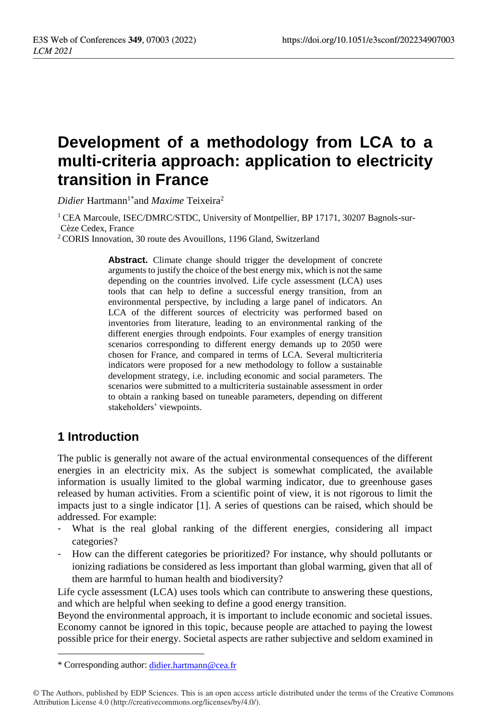# **Development of a methodology from LCA to a multi-criteria approach: application to electricity transition in France**

 $Didier$  Hartmann<sup>1\*</sup>and *Maxime* Teixeira<sup>2</sup>

<sup>1</sup> CEA Marcoule, ISEC/DMRC/STDC, University of Montpellier, BP 17171, 30207 Bagnols-sur-Cèze Cedex, France

<sup>2</sup> CORIS Innovation, 30 route des Avouillons, 1196 Gland, Switzerland

Abstract. Climate change should trigger the development of concrete arguments to justify the choice of the best energy mix, which is not the same depending on the countries involved. Life cycle assessment (LCA) uses tools that can help to define a successful energy transition, from an environmental perspective, by including a large panel of indicators. An LCA of the different sources of electricity was performed based on inventories from literature, leading to an environmental ranking of the different energies through endpoints. Four examples of energy transition scenarios corresponding to different energy demands up to 2050 were chosen for France, and compared in terms of LCA. Several multicriteria indicators were proposed for a new methodology to follow a sustainable development strategy, i.e. including economic and social parameters. The scenarios were submitted to a multicriteria sustainable assessment in order to obtain a ranking based on tuneable parameters, depending on different stakeholders' viewpoints.

# **1 Introduction**

 $\overline{a}$ 

The public is generally not aware of the actual environmental consequences of the different energies in an electricity mix. As the subject is somewhat complicated, the available information is usually limited to the global warming indicator, due to greenhouse gases released by human activities. From a scientific point of view, it is not rigorous to limit the impacts just to a single indicator [1]. A series of questions can be raised, which should be addressed. For example:

- What is the real global ranking of the different energies, considering all impact categories?
- How can the different categories be prioritized? For instance, why should pollutants or ionizing radiations be considered as less important than global warming, given that all of them are harmful to human health and biodiversity?

Life cycle assessment (LCA) uses tools which can contribute to answering these questions, and which are helpful when seeking to define a good energy transition.

Beyond the environmental approach, it is important to include economic and societal issues. Economy cannot be ignored in this topic, because people are attached to paying the lowest possible price for their energy. Societal aspects are rather subjective and seldom examined in

<sup>\*</sup> Corresponding author: [didier.hartmann@cea.fr](mailto:didier.hartmann@cea.fr)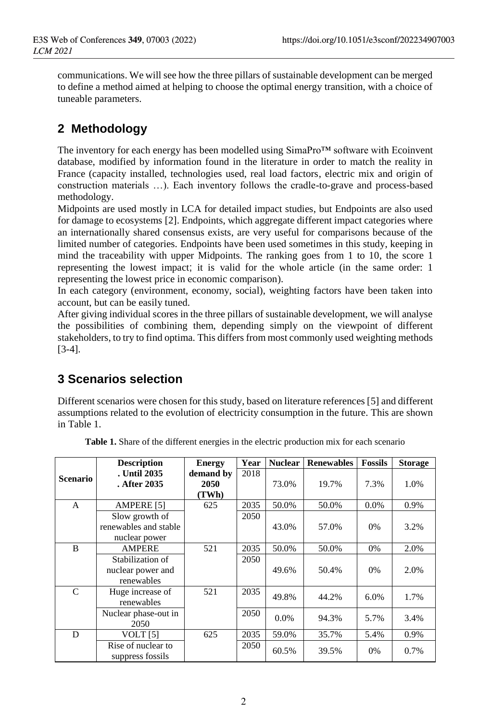communications. We will see how the three pillars of sustainable development can be merged to define a method aimed at helping to choose the optimal energy transition, with a choice of tuneable parameters.

# **2 Methodology**

The inventory for each energy has been modelled using SimaPro™ software with Ecoinvent database, modified by information found in the literature in order to match the reality in France (capacity installed, technologies used, real load factors, electric mix and origin of construction materials …). Each inventory follows the cradle-to-grave and process-based methodology.

Midpoints are used mostly in LCA for detailed impact studies, but Endpoints are also used for damage to ecosystems [2]. Endpoints, which aggregate different impact categories where an internationally shared consensus exists, are very useful for comparisons because of the limited number of categories. Endpoints have been used sometimes in this study, keeping in mind the traceability with upper Midpoints. The ranking goes from 1 to 10, the score 1 representing the lowest impact; it is valid for the whole article (in the same order: 1 representing the lowest price in economic comparison).

In each category (environment, economy, social), weighting factors have been taken into account, but can be easily tuned.

After giving individual scores in the three pillars of sustainable development, we will analyse the possibilities of combining them, depending simply on the viewpoint of different stakeholders, to try to find optima. This differs from most commonly used weighting methods [3-4].

# **3 Scenarios selection**

Different scenarios were chosen for this study, based on literature references [5] and different assumptions related to the evolution of electricity consumption in the future. This are shown in Table 1.

|              | <b>Description</b>    | <b>Energy</b> | Year | <b>Nuclear</b> | <b>Renewables</b> | <b>Fossils</b> | <b>Storage</b> |
|--------------|-----------------------|---------------|------|----------------|-------------------|----------------|----------------|
| Scenario     | . Until 2035          | demand by     | 2018 |                |                   |                |                |
|              | . After 2035          | 2050          |      | 73.0%          | 19.7%             | 7.3%           | 1.0%           |
|              |                       | (TWh)         |      |                |                   |                |                |
| $\mathsf{A}$ | <b>AMPERE</b> [5]     | 625           | 2035 | 50.0%          | 50.0%             | $0.0\%$        | 0.9%           |
|              | Slow growth of        |               | 2050 |                |                   |                |                |
|              | renewables and stable |               |      | 43.0%          | 57.0%             | $0\%$          | 3.2%           |
|              | nuclear power         |               |      |                |                   |                |                |
| B            | AMPERE                | 521           | 2035 | 50.0%          | 50.0%             | 0%             | 2.0%           |
|              | Stabilization of      |               | 2050 |                |                   |                |                |
|              | nuclear power and     |               |      | 49.6%          | 50.4%             | $0\%$          | 2.0%           |
|              | renewables            |               |      |                |                   |                |                |
| $\mathsf{C}$ | Huge increase of      | 521           | 2035 | 49.8%          | 44.2%             | 6.0%           | 1.7%           |
|              | renewables            |               |      |                |                   |                |                |
|              | Nuclear phase-out in  |               | 2050 | 0.0%           | 94.3%             | 5.7%           | 3.4%           |
|              | 2050                  |               |      |                |                   |                |                |
| D            | VOLT $[5]$            | 625           | 2035 | 59.0%          | 35.7%             | 5.4%           | 0.9%           |
|              | Rise of nuclear to    |               | 2050 | 60.5%          | 39.5%             | 0%             | 0.7%           |
|              | suppress fossils      |               |      |                |                   |                |                |

**Table 1.** Share of the different energies in the electric production mix for each scenario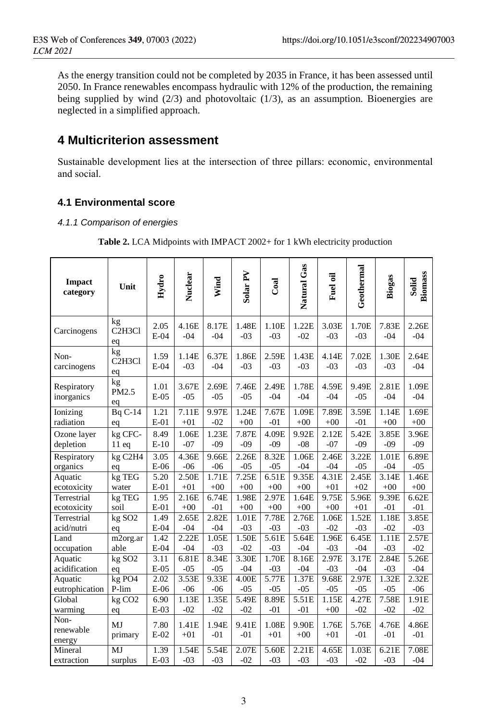As the energy transition could not be completed by 2035 in France, it has been assessed until 2050. In France renewables encompass hydraulic with 12% of the production, the remaining being supplied by wind (2/3) and photovoltaic (1/3), as an assumption. Bioenergies are neglected in a simplified approach.

# **4 Multicriterion assessment**

Sustainable development lies at the intersection of three pillars: economic, environmental and social.

### **4.1 Environmental score**

#### *4.1.1 Comparison of energies*

|  |  | <b>Table 2.</b> LCA Midpoints with IMPACT 2002+ for 1 kWh electricity production |
|--|--|----------------------------------------------------------------------------------|
|  |  |                                                                                  |

| <b>Impact</b><br>category   | Unit                                         | Hydro          | Nuclear        | Wind           | Solar PV       | Coal           | Natural Gas    | Fuel oil       | Geothermal         | Biogas         | <b>Biomass</b><br>Solid |
|-----------------------------|----------------------------------------------|----------------|----------------|----------------|----------------|----------------|----------------|----------------|--------------------|----------------|-------------------------|
| Carcinogens                 | kg<br>C <sub>2</sub> H <sub>3</sub> Cl<br>eq | 2.05<br>$E-04$ | 4.16E<br>$-04$ | 8.17E<br>$-04$ | 1.48E<br>$-03$ | 1.10E<br>$-03$ | 1.22E<br>$-02$ | 3.03E<br>$-03$ | 1.70E<br>$-03$     | 7.83E<br>$-04$ | 2.26E<br>$-04$          |
| Non-<br>carcinogens         | kg<br>C <sub>2</sub> H <sub>3</sub> Cl<br>eq | 1.59<br>$E-04$ | 1.14E<br>$-03$ | 6.37E<br>$-04$ | 1.86E<br>$-03$ | 2.59E<br>$-03$ | 1.43E<br>$-03$ | 4.14E<br>$-03$ | 7.02E<br>$-03$     | 1.30E<br>$-03$ | 2.64E<br>$-04$          |
| Respiratory<br>inorganics   | kg<br>PM2.5<br>eq                            | 1.01<br>$E-05$ | 3.67E<br>$-05$ | 2.69E<br>$-05$ | 7.46E<br>$-05$ | 2.49E<br>$-04$ | 1.78E<br>$-04$ | 4.59E<br>$-04$ | 9.49E<br>$-05$     | 2.81E<br>$-04$ | 1.09E<br>$-04$          |
| Ionizing                    | $BqC-14$                                     | 1.21           | 7.11E          | 9.97E          | 1.24E          | 7.67E          | 1.09E          | 7.89E          | 3.59E              | 1.14E          | 1.69E                   |
| radiation                   | eq                                           | $E-01$         | $+01$          | $-02$          | $+00$          | $-01$          | $+00$          | $+00$          | $-01$              | $+00$          | $+00$                   |
| Ozone layer                 | kg CFC-                                      | 8.49           | 1.06E          | 1.23E          | 7.87E          | 4.09E          | 9.92E          | 2.12E          | 5.42E              | 3.85E          | 3.96E                   |
| depletion                   | 11eq                                         | $E-10$         | $-07$          | $-09$          | $-09$          | $-09$          | $-08$          | $-07$          | $-09$              | $-09$          | $-09$                   |
| Respiratory                 | kg C2H4                                      | 3.05           | 4.36E          | 9.66E          | 2.26E          | 8.32E          | 1.06E          | 2.46E          | 3.22E              | 1.01E          | 6.89E                   |
| organics                    | eq                                           | $E-06$         | $-06$          | $-06$          | $-05$          | $-05$          | $-04$          | $-04$          | $-05$              | $-04$          | $-05$                   |
| Aquatic                     | kg TEG                                       | 5.20           | 2.50E          | 1.71E          | 7.25E          | 6.51E          | 9.35E          | 4.31E          | 2.45E              | 3.14E          | 1.46E                   |
| ecotoxicity                 | water                                        | $E-01$         | $+01$          | $+00$          | $+00$          | $+00$          | $+00$          | $+01$          | $+02$              | $+00$          | $+00$                   |
| Terrestrial                 | kg TEG                                       | 1.95           | 2.16E          | 6.74E          | 1.98E          | 2.97E          | 1.64E          | 9.75E          | $\overline{5.96E}$ | 9.39E          | 6.62E                   |
| ecotoxicity                 | soil                                         | $E-01$         | $+00$          | $-01$          | $+00$          | $+00$          | $+00$          | $+00$          | $+01$              | $-01$          | $-01$                   |
| Terrestrial                 | $kg$ SO <sub>2</sub>                         | 1.49           | 2.65E          | 2.82E          | 1.01E          | 7.78E          | 2.76E          | 1.06E          | 1.52E              | 1.18E          | 3.85E                   |
| acid/nutri                  | eq                                           | $E-04$         | $-04$          | $-04$          | $-03$          | $-03$          | $-03$          | $-02$          | $-03$              | $-02$          | $-03$                   |
| Land                        | m2org.ar                                     | 1.42           | 2.22E          | 1.05E          | 1.50E          | 5.61E          | 5.64E          | 1.96E          | 6.45E              | 1.11E          | 2.57E                   |
| occupation                  | able                                         | $E-04$         | $-04$          | $-03$          | $-02$          | $-03$          | $-04$          | $-03$          | $-04$              | $-03$          | $-02$                   |
| Aquatic                     | kg SO <sub>2</sub>                           | 3.11           | 6.81E          | 8.34E          | 3.30E          | 1.70E          | 8.16E          | 2.97E          | 3.17E              | 2.84E          | 5.26E                   |
| acidification               | eq                                           | $E-05$         | $-05$          | $-05$          | $-04$          | $-03$          | $-04$          | $-03$          | $-04$              | $-03$          | $-04$                   |
| Aquatic                     | kg PO4                                       | 2.02           | 3.53E          | 9.33E          | 4.00E          | 5.77E          | 1.37E          | 9.68E          | 2.97E              | 1.32E          | 2.32E                   |
| eutrophication              | P-lim                                        | $E-06$         | $-06$          | $-06$          | $-05$          | $-05$          | $-05$          | $-05$          | $-05$              | $-05$          | $-06$                   |
| Global                      | kg CO <sub>2</sub>                           | 6.90           | 1.13E          | 1.35E          | 5.49E          | 8.89E          | 5.51E          | 1.15E          | 4.27E              | 7.58E          | 1.91E                   |
| warming                     | eq                                           | $E-03$         | $-02$          | $-02$          | $-02$          | $-01$          | $-01$          | $+00$          | $-02$              | $-02$          | $-02$                   |
| Non-<br>renewable<br>energy | MJ<br>primary                                | 7.80<br>$E-02$ | 1.41E<br>$+01$ | 1.94E<br>$-01$ | 9.41E<br>$-01$ | 1.08E<br>$+01$ | 9.90E<br>$+00$ | 1.76E<br>$+01$ | 5.76E<br>$-01$     | 4.76E<br>$-01$ | 4.86E<br>$-01$          |
| Mineral                     | MJ                                           | 1.39           | 1.54E          | 5.54E          | 2.07E          | 5.60E          | 2.21E          | 4.65E          | 1.03E              | 6.21E          | 7.08E                   |
| extraction                  | surplus                                      | $E-03$         | $-03$          | $-03$          | $-02$          | $-03$          | $-03$          | $-03$          | $-02$              | $-03$          | $-04$                   |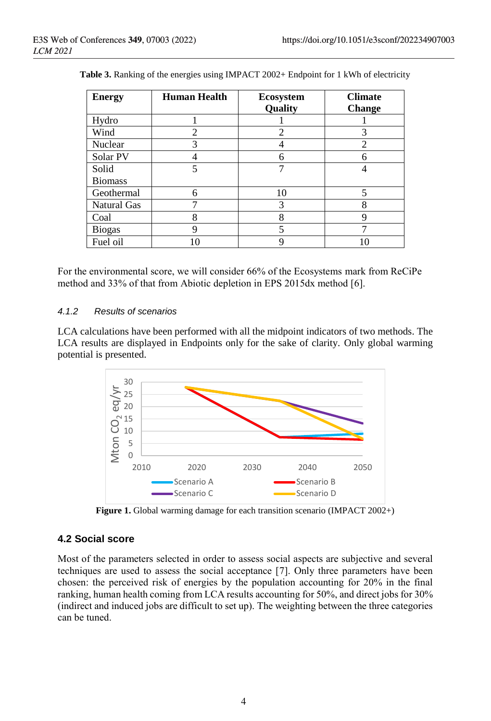| <b>Energy</b>      | <b>Human Health</b> | <b>Ecosystem</b> | <b>Climate</b> |
|--------------------|---------------------|------------------|----------------|
|                    |                     | Quality          | <b>Change</b>  |
| Hydro              |                     |                  |                |
| Wind               | 2                   | $\mathfrak{D}$   | 3              |
| Nuclear            | 3                   |                  | 2              |
| Solar PV           |                     | 6                | 6              |
| Solid              | 5                   |                  |                |
| <b>Biomass</b>     |                     |                  |                |
| Geothermal         | 6                   | 10               | 5              |
| <b>Natural Gas</b> |                     | 3                | 8              |
| Coal               | 8                   | 8                | 9              |
| <b>Biogas</b>      | q                   | 5                |                |
| Fuel oil           |                     | 9                | 10             |

|  |  | Table 3. Ranking of the energies using IMPACT 2002+ Endpoint for 1 kWh of electricity |
|--|--|---------------------------------------------------------------------------------------|
|  |  |                                                                                       |

For the environmental score, we will consider 66% of the Ecosystems mark from ReCiPe method and 33% of that from Abiotic depletion in EPS 2015dx method [6].

#### *4.1.2 Results of scenarios*

LCA calculations have been performed with all the midpoint indicators of two methods. The LCA results are displayed in Endpoints only for the sake of clarity. Only global warming potential is presented.



**Figure 1.** Global warming damage for each transition scenario (IMPACT 2002+)

#### **4.2 Social score**

Most of the parameters selected in order to assess social aspects are subjective and several techniques are used to assess the social acceptance [7]. Only three parameters have been chosen: the perceived risk of energies by the population accounting for 20% in the final ranking, human health coming from LCA results accounting for 50%, and direct jobs for 30% (indirect and induced jobs are difficult to set up). The weighting between the three categories can be tuned.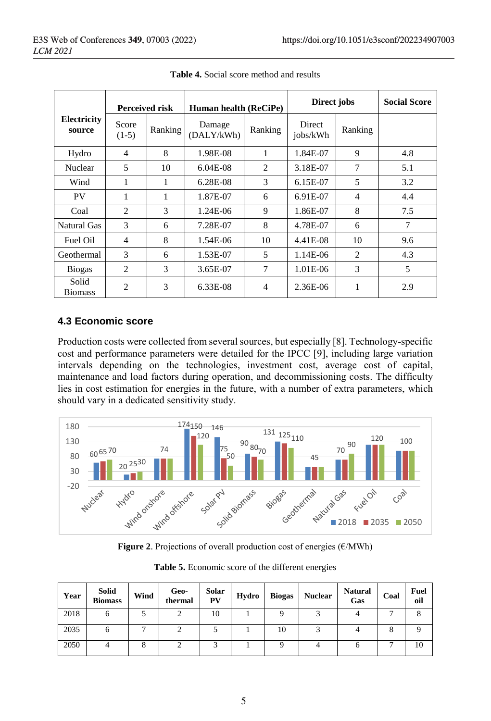|                         | <b>Perceived risk</b> |         | Human health (ReCiPe) |                | Direct jobs        | <b>Social Score</b>           |     |
|-------------------------|-----------------------|---------|-----------------------|----------------|--------------------|-------------------------------|-----|
| Electricity<br>source   | Score<br>$(1-5)$      | Ranking | Damage<br>(DALY/kWh)  | Ranking        | Direct<br>jobs/kWh | Ranking                       |     |
| Hydro                   | 4                     | 8       | 1.98E-08              | 1              | 1.84E-07           | 9                             | 4.8 |
| Nuclear                 | 5                     | 10      | $6.04E-08$            | $\overline{c}$ | 3.18E-07           | 7                             | 5.1 |
| Wind                    | 1                     | 1       | 6.28E-08              | 3              | $6.15E-07$         | 5                             | 3.2 |
| <b>PV</b>               | 1                     |         | 1.87E-07              | 6              | 6.91E-07           | 4                             | 4.4 |
| Coal                    | $\overline{2}$        | 3       | 1.24E-06              | 9              | 1.86E-07           | 8                             | 7.5 |
| Natural Gas             | 3                     | 6       | 7.28E-07              | 8              | 4.78E-07           | 6                             | 7   |
| Fuel Oil                | 4                     | 8       | 1.54E-06              | 10             | 4.41E-08           | 10                            | 9.6 |
| Geothermal              | 3                     | 6       | 1.53E-07              | 5              | 1.14E-06           | $\mathfrak{D}_{\mathfrak{p}}$ | 4.3 |
| <b>Biogas</b>           | 2                     | 3       | 3.65E-07              | 7              | 1.01E-06           | 3                             | 5   |
| Solid<br><b>Biomass</b> | $\overline{c}$        | 3       | 6.33E-08              | $\overline{4}$ | 2.36E-06           | 1                             | 2.9 |

**Table 4.** Social score method and results

#### **4.3 Economic score**

Production costs were collected from several sources, but especially [8]. Technology-specific cost and performance parameters were detailed for the IPCC [9], including large variation intervals depending on the technologies, investment cost, average cost of capital, maintenance and load factors during operation, and decommissioning costs. The difficulty lies in cost estimation for energies in the future, with a number of extra parameters, which should vary in a dedicated sensitivity study.



**Figure 2.** Projections of overall production cost of energies  $(\epsilon/MWh)$ 

| Year | <b>Solid</b><br><b>Biomass</b> | Wind | Geo-<br>thermal | Solar<br>PV | Hydro | <b>Biogas</b> | <b>Nuclear</b> | <b>Natural</b><br>Gas | Coal | <b>Fuel</b><br>oil |
|------|--------------------------------|------|-----------------|-------------|-------|---------------|----------------|-----------------------|------|--------------------|
| 2018 | O                              |      |                 | 10          |       |               |                |                       |      |                    |
| 2035 | o                              |      |                 |             |       | 10            |                |                       | 8    |                    |
| 2050 |                                | ◠    |                 |             |       |               |                | n                     |      | 10                 |

**Table 5.** Economic score of the different energies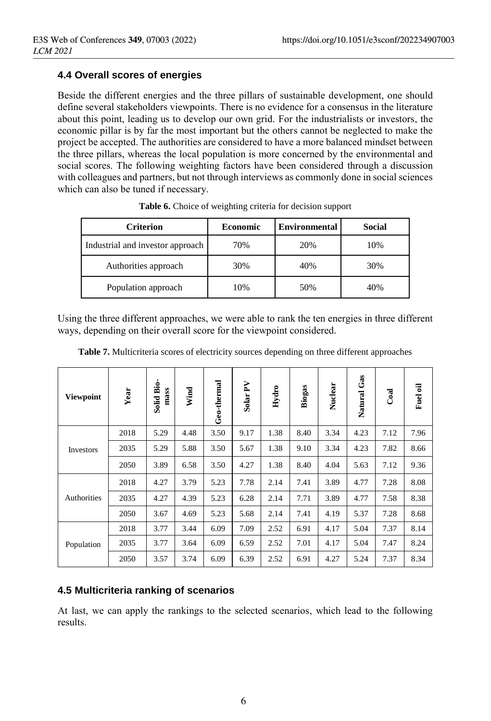#### **4.4 Overall scores of energies**

Beside the different energies and the three pillars of sustainable development, one should define several stakeholders viewpoints. There is no evidence for a consensus in the literature about this point, leading us to develop our own grid. For the industrialists or investors, the economic pillar is by far the most important but the others cannot be neglected to make the project be accepted. The authorities are considered to have a more balanced mindset between the three pillars, whereas the local population is more concerned by the environmental and social scores. The following weighting factors have been considered through a discussion with colleagues and partners, but not through interviews as commonly done in social sciences which can also be tuned if necessary.

| <b>Criterion</b>                 | <b>Economic</b> | <b>Environmental</b> | Social |
|----------------------------------|-----------------|----------------------|--------|
| Industrial and investor approach | 70%             | 20%                  | 10%    |
| Authorities approach             | 30%             | 40%                  | 30%    |
| Population approach              | 10%             | 50%                  | 40%    |

**Table 6.** Choice of weighting criteria for decision support

Using the three different approaches, we were able to rank the ten energies in three different ways, depending on their overall score for the viewpoint considered.

| <b>Viewpoint</b> | Year | .<br>Bio<br>mass<br>Solid | Wind | Geo-thermal | R<br>Solar <sup>®</sup> | Hydro | Biogas | Nuclear | Gas<br>Natural | Coal | Fuel oil |
|------------------|------|---------------------------|------|-------------|-------------------------|-------|--------|---------|----------------|------|----------|
|                  | 2018 | 5.29                      | 4.48 | 3.50        | 9.17                    | 1.38  | 8.40   | 3.34    | 4.23           | 7.12 | 7.96     |
| Investors        | 2035 | 5.29                      | 5.88 | 3.50        | 5.67                    | 1.38  | 9.10   | 3.34    | 4.23           | 7.82 | 8.66     |
|                  | 2050 | 3.89                      | 6.58 | 3.50        | 4.27                    | 1.38  | 8.40   | 4.04    | 5.63           | 7.12 | 9.36     |
|                  | 2018 | 4.27                      | 3.79 | 5.23        | 7.78                    | 2.14  | 7.41   | 3.89    | 4.77           | 7.28 | 8.08     |
| Authorities      | 2035 | 4.27                      | 4.39 | 5.23        | 6.28                    | 2.14  | 7.71   | 3.89    | 4.77           | 7.58 | 8.38     |
|                  | 2050 | 3.67                      | 4.69 | 5.23        | 5.68                    | 2.14  | 7.41   | 4.19    | 5.37           | 7.28 | 8.68     |
|                  | 2018 | 3.77                      | 3.44 | 6.09        | 7.09                    | 2.52  | 6.91   | 4.17    | 5.04           | 7.37 | 8.14     |
| Population       | 2035 | 3.77                      | 3.64 | 6.09        | 6.59                    | 2.52  | 7.01   | 4.17    | 5.04           | 7.47 | 8.24     |
|                  | 2050 | 3.57                      | 3.74 | 6.09        | 6.39                    | 2.52  | 6.91   | 4.27    | 5.24           | 7.37 | 8.34     |

**Table 7.** Multicriteria scores of electricity sources depending on three different approaches

#### **4.5 Multicriteria ranking of scenarios**

At last, we can apply the rankings to the selected scenarios, which lead to the following results.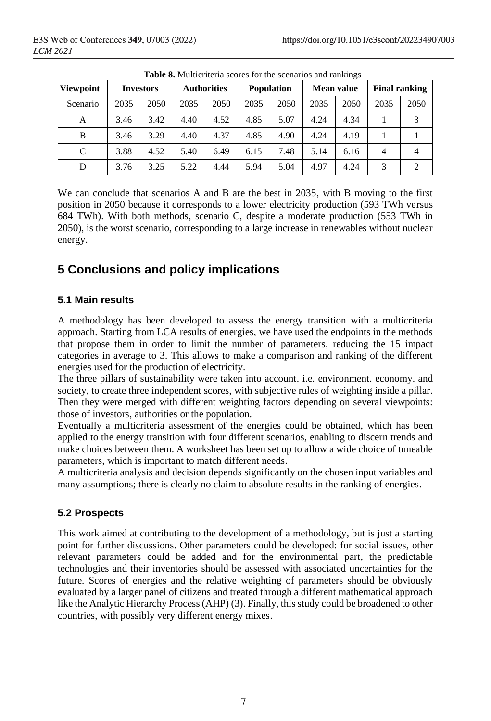|           | <b>THOIC OF INTERFERITE SCOTES TOT THE SCOTIGETOS RIKE FRIMMILES</b> |                  |      |                                         |      |      |      |            |                      |      |  |  |
|-----------|----------------------------------------------------------------------|------------------|------|-----------------------------------------|------|------|------|------------|----------------------|------|--|--|
| Viewpoint |                                                                      | <b>Investors</b> |      | <b>Population</b><br><b>Authorities</b> |      |      |      | Mean value | <b>Final ranking</b> |      |  |  |
| Scenario  | 2035                                                                 | 2050             | 2035 | 2050                                    | 2035 | 2050 | 2035 | 2050       | 2035                 | 2050 |  |  |
| А         | 3.46                                                                 | 3.42             | 4.40 | 4.52                                    | 4.85 | 5.07 | 4.24 | 4.34       |                      | 3    |  |  |
| B         | 3.46                                                                 | 3.29             | 4.40 | 4.37                                    | 4.85 | 4.90 | 4.24 | 4.19       |                      |      |  |  |
| C         | 3.88                                                                 | 4.52             | 5.40 | 6.49                                    | 6.15 | 7.48 | 5.14 | 6.16       | 4                    | 4    |  |  |
| D         | 3.76                                                                 | 3.25             | 5.22 | 4.44                                    | 5.94 | 5.04 | 4.97 | 4.24       | 3                    | 2    |  |  |

**Table 8.** Multicriteria scores for the scenarios and rankings

We can conclude that scenarios A and B are the best in 2035, with B moving to the first position in 2050 because it corresponds to a lower electricity production (593 TWh versus 684 TWh). With both methods, scenario C, despite a moderate production (553 TWh in 2050), is the worst scenario, corresponding to a large increase in renewables without nuclear energy.

# **5 Conclusions and policy implications**

#### **5.1 Main results**

A methodology has been developed to assess the energy transition with a multicriteria approach. Starting from LCA results of energies, we have used the endpoints in the methods that propose them in order to limit the number of parameters, reducing the 15 impact categories in average to 3. This allows to make a comparison and ranking of the different energies used for the production of electricity.

The three pillars of sustainability were taken into account. i.e. environment. economy. and society, to create three independent scores, with subjective rules of weighting inside a pillar. Then they were merged with different weighting factors depending on several viewpoints: those of investors, authorities or the population.

Eventually a multicriteria assessment of the energies could be obtained, which has been applied to the energy transition with four different scenarios, enabling to discern trends and make choices between them. A worksheet has been set up to allow a wide choice of tuneable parameters, which is important to match different needs.

A multicriteria analysis and decision depends significantly on the chosen input variables and many assumptions; there is clearly no claim to absolute results in the ranking of energies.

### **5.2 Prospects**

This work aimed at contributing to the development of a methodology, but is just a starting point for further discussions. Other parameters could be developed: for social issues, other relevant parameters could be added and for the environmental part, the predictable technologies and their inventories should be assessed with associated uncertainties for the future. Scores of energies and the relative weighting of parameters should be obviously evaluated by a larger panel of citizens and treated through a different mathematical approach like the Analytic Hierarchy Process (AHP) (3). Finally, this study could be broadened to other countries, with possibly very different energy mixes.